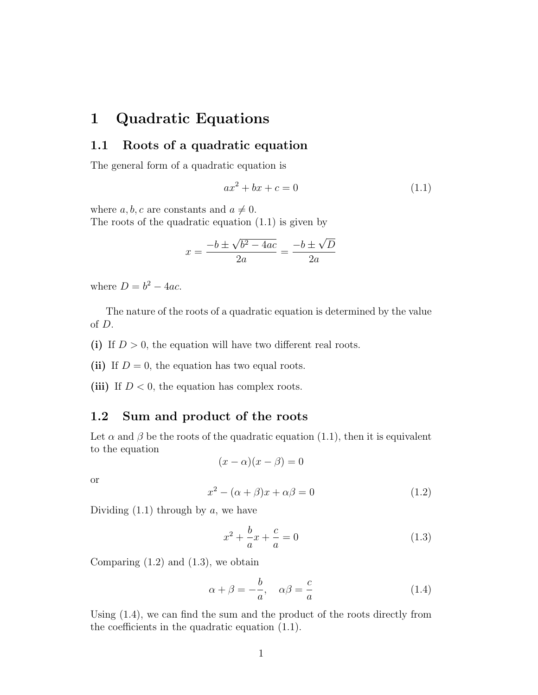# 1 Quadratic Equations

## 1.1 Roots of a quadratic equation

The general form of a quadratic equation is

$$
ax^2 + bx + c = 0 \tag{1.1}
$$

where  $a, b, c$  are constants and  $a \neq 0$ .

The roots of the quadratic equation (1.1) is given by

$$
x = \frac{-b \pm \sqrt{b^2 - 4ac}}{2a} = \frac{-b \pm \sqrt{D}}{2a}
$$

where  $D = b^2 - 4ac$ .

The nature of the roots of a quadratic equation is determined by the value of D.

(i) If  $D > 0$ , the equation will have two different real roots.

(ii) If  $D = 0$ , the equation has two equal roots.

(iii) If  $D < 0$ , the equation has complex roots.

# 1.2 Sum and product of the roots

Let  $\alpha$  and  $\beta$  be the roots of the quadratic equation (1.1), then it is equivalent to the equation

$$
(x - \alpha)(x - \beta) = 0
$$

or

$$
x^2 - (\alpha + \beta)x + \alpha\beta = 0 \tag{1.2}
$$

Dividing  $(1.1)$  through by a, we have

$$
x^{2} + \frac{b}{a}x + \frac{c}{a} = 0
$$
 (1.3)

Comparing  $(1.2)$  and  $(1.3)$ , we obtain

$$
\alpha + \beta = -\frac{b}{a}, \quad \alpha\beta = \frac{c}{a} \tag{1.4}
$$

Using (1.4), we can find the sum and the product of the roots directly from the coefficients in the quadratic equation (1.1).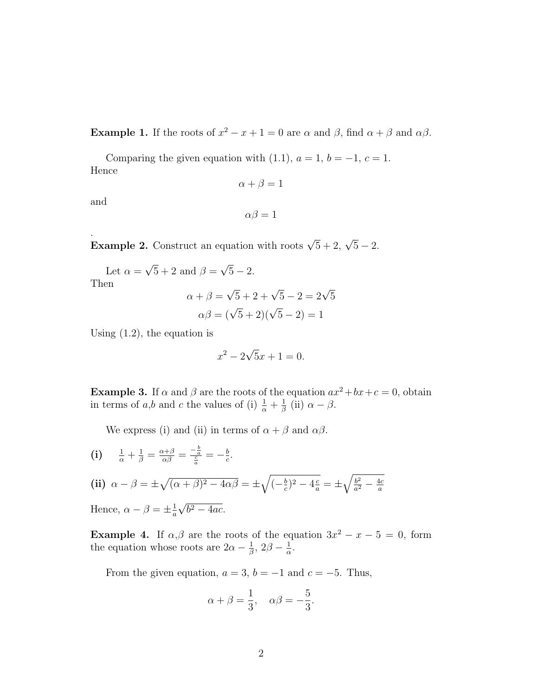**Example 1.** If the roots of  $x^2 - x + 1 = 0$  are  $\alpha$  and  $\beta$ , find  $\alpha + \beta$  and  $\alpha\beta$ .

Comparing the given equation with (1.1),  $a = 1$ ,  $b = -1$ ,  $c = 1$ . Hence

$$
\alpha + \beta = 1
$$

and

 $\alpha\beta=1$ 

Example 2. Construct an equation with roots  $\sqrt{5} + 2$ ,  $\sqrt{5} - 2$ .

Let  $\alpha =$ √  $\overline{5} + 2$  and  $\beta =$ √  $\overline{5} - 2.$ Then √

$$
\alpha + \beta = \sqrt{5} + 2 + \sqrt{5} - 2 = 2\sqrt{5}
$$

$$
\alpha\beta = (\sqrt{5} + 2)(\sqrt{5} - 2) = 1
$$

Using  $(1.2)$ , the equation is

$$
x^2 - 2\sqrt{5}x + 1 = 0.
$$

**Example 3.** If  $\alpha$  and  $\beta$  are the roots of the equation  $ax^2 + bx + c = 0$ , obtain in terms of a,b and c the values of (i)  $\frac{1}{\alpha} + \frac{1}{\beta}$  $\frac{1}{\beta}$  (ii)  $\alpha - \beta$ .

We express (i) and (ii) in terms of  $\alpha + \beta$  and  $\alpha\beta$ .

(i) 
$$
\frac{1}{\alpha} + \frac{1}{\beta} = \frac{\alpha + \beta}{\alpha \beta} = \frac{-\frac{b}{\alpha}}{\frac{c}{a}} = -\frac{b}{c}.
$$
  
\n(ii)  $\alpha - \beta = \pm \sqrt{(\alpha + \beta)^2 - 4\alpha\beta} = \pm \sqrt{(-\frac{b}{c})^2 - 4\frac{c}{a}} = \pm \sqrt{\frac{b^2}{a^2} - \frac{4c}{a}}$   
\nHence,  $\alpha - \beta = \pm \frac{1}{a}\sqrt{b^2 - 4ac}.$ 

**Example 4.** If  $\alpha, \beta$  are the roots of the equation  $3x^2 - x - 5 = 0$ , form the equation whose roots are  $2\alpha - \frac{1}{\beta}$  $\frac{1}{\beta}$ , 2 $\beta - \frac{1}{\alpha}$  $\frac{1}{\alpha}$ .

From the given equation,  $a = 3$ ,  $b = -1$  and  $c = -5$ . Thus,

$$
\alpha + \beta = \frac{1}{3}, \quad \alpha\beta = -\frac{5}{3}.
$$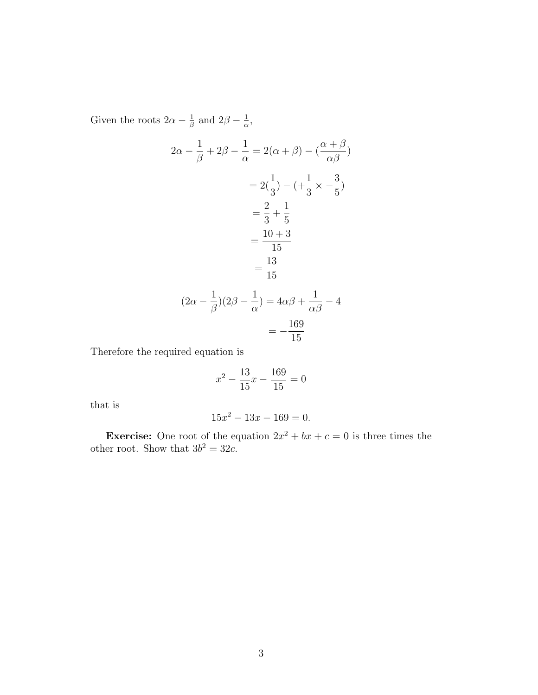Given the roots  $2\alpha - \frac{1}{\beta}$  $\frac{1}{\beta}$  and  $2\beta - \frac{1}{\alpha}$  $\frac{1}{\alpha}$ ,

$$
2\alpha - \frac{1}{\beta} + 2\beta - \frac{1}{\alpha} = 2(\alpha + \beta) - (\frac{\alpha + \beta}{\alpha\beta})
$$

$$
= 2(\frac{1}{3}) - (+\frac{1}{3} \times -\frac{3}{5})
$$

$$
= \frac{2}{3} + \frac{1}{5}
$$

$$
= \frac{10 + 3}{15}
$$

$$
= \frac{13}{15}
$$

$$
(2\alpha - \frac{1}{\beta})(2\beta - \frac{1}{\alpha}) = 4\alpha\beta + \frac{1}{\alpha\beta} - 4
$$

$$
= -\frac{169}{15}
$$

Therefore the required equation is

$$
x^2 - \frac{13}{15}x - \frac{169}{15} = 0
$$

that is

$$
15x^2 - 13x - 169 = 0.
$$

**Exercise:** One root of the equation  $2x^2 + bx + c = 0$  is three times the other root. Show that  $3b^2 = 32c$ .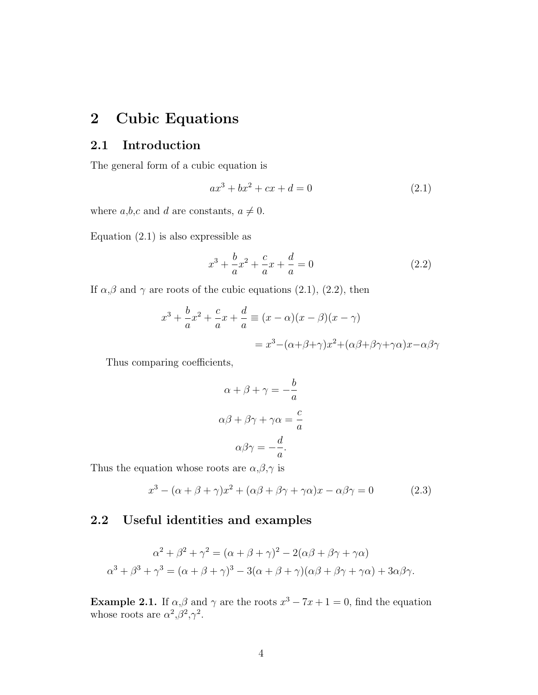# 2 Cubic Equations

### 2.1 Introduction

The general form of a cubic equation is

$$
ax^3 + bx^2 + cx + d = 0 \tag{2.1}
$$

where  $a,b,c$  and d are constants,  $a \neq 0$ .

Equation  $(2.1)$  is also expressible as

$$
x^{3} + \frac{b}{a}x^{2} + \frac{c}{a}x + \frac{d}{a} = 0
$$
 (2.2)

If  $\alpha, \beta$  and  $\gamma$  are roots of the cubic equations (2.1), (2.2), then

$$
x^{3} + \frac{b}{a}x^{2} + \frac{c}{a}x + \frac{d}{a} \equiv (x - \alpha)(x - \beta)(x - \gamma)
$$

$$
= x^{3} - (\alpha + \beta + \gamma)x^{2} + (\alpha\beta + \beta\gamma + \gamma\alpha)x - \alpha\beta\gamma
$$

Thus comparing coefficients,

$$
\alpha + \beta + \gamma = -\frac{b}{a}
$$

$$
\alpha\beta + \beta\gamma + \gamma\alpha = \frac{c}{a}
$$

$$
\alpha\beta\gamma = -\frac{d}{a}.
$$

Thus the equation whose roots are  $\alpha, \beta, \gamma$  is

$$
x^3 - (\alpha + \beta + \gamma)x^2 + (\alpha\beta + \beta\gamma + \gamma\alpha)x - \alpha\beta\gamma = 0
$$
 (2.3)

## 2.2 Useful identities and examples

$$
\alpha^2 + \beta^2 + \gamma^2 = (\alpha + \beta + \gamma)^2 - 2(\alpha\beta + \beta\gamma + \gamma\alpha)
$$

$$
\alpha^3 + \beta^3 + \gamma^3 = (\alpha + \beta + \gamma)^3 - 3(\alpha + \beta + \gamma)(\alpha\beta + \beta\gamma + \gamma\alpha) + 3\alpha\beta\gamma.
$$

**Example 2.1.** If  $\alpha, \beta$  and  $\gamma$  are the roots  $x^3 - 7x + 1 = 0$ , find the equation whose roots are  $\alpha^2, \beta^2, \gamma^2$ .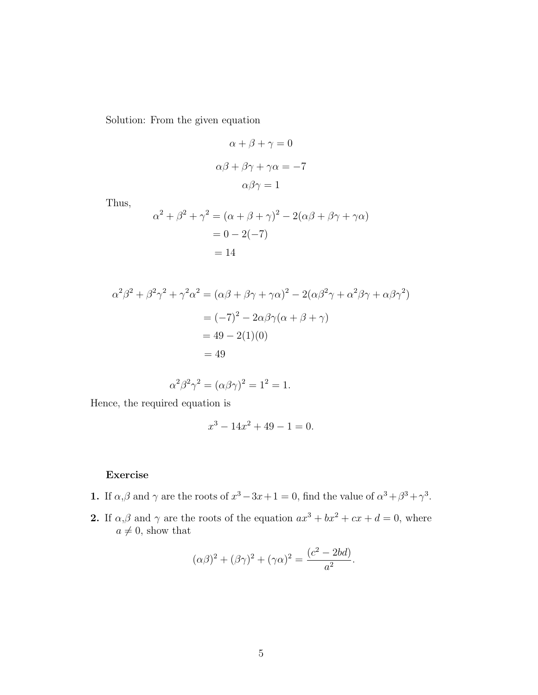Solution: From the given equation

$$
\alpha + \beta + \gamma = 0
$$

$$
\alpha\beta + \beta\gamma + \gamma\alpha = -7
$$

$$
\alpha\beta\gamma = 1
$$

Thus,

$$
\alpha^{2} + \beta^{2} + \gamma^{2} = (\alpha + \beta + \gamma)^{2} - 2(\alpha\beta + \beta\gamma + \gamma\alpha) \n= 0 - 2(-7) \n= 14
$$

$$
\alpha^2 \beta^2 + \beta^2 \gamma^2 + \gamma^2 \alpha^2 = (\alpha \beta + \beta \gamma + \gamma \alpha)^2 - 2(\alpha \beta^2 \gamma + \alpha^2 \beta \gamma + \alpha \beta \gamma^2)
$$
  
=  $(-7)^2 - 2\alpha \beta \gamma (\alpha + \beta + \gamma)$   
=  $49 - 2(1)(0)$   
= 49

$$
\alpha^2 \beta^2 \gamma^2 = (\alpha \beta \gamma)^2 = 1^2 = 1.
$$

Hence, the required equation is

$$
x^3 - 14x^2 + 49 - 1 = 0.
$$

#### Exercise

- 1. If  $\alpha, \beta$  and  $\gamma$  are the roots of  $x^3 3x + 1 = 0$ , find the value of  $\alpha^3 + \beta^3 + \gamma^3$ .
- 2. If  $\alpha, \beta$  and  $\gamma$  are the roots of the equation  $ax^3 + bx^2 + cx + d = 0$ , where  $a \neq 0$ , show that

$$
(\alpha \beta)^2 + (\beta \gamma)^2 + (\gamma \alpha)^2 = \frac{(c^2 - 2bd)}{a^2}.
$$